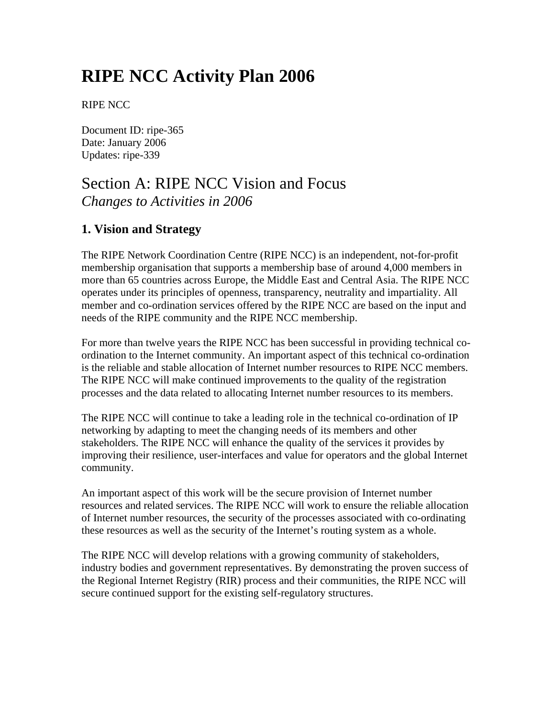# **RIPE NCC Activity Plan 2006**

RIPE NCC

Document ID: ripe-365 Date: January 2006 Updates: ripe-339

# Section A: RIPE NCC Vision and Focus *Changes to Activities in 2006*

# **1. Vision and Strategy**

The RIPE Network Coordination Centre (RIPE NCC) is an independent, not-for-profit membership organisation that supports a membership base of around 4,000 members in more than 65 countries across Europe, the Middle East and Central Asia. The RIPE NCC operates under its principles of openness, transparency, neutrality and impartiality. All member and co-ordination services offered by the RIPE NCC are based on the input and needs of the RIPE community and the RIPE NCC membership.

For more than twelve years the RIPE NCC has been successful in providing technical coordination to the Internet community. An important aspect of this technical co-ordination is the reliable and stable allocation of Internet number resources to RIPE NCC members. The RIPE NCC will make continued improvements to the quality of the registration processes and the data related to allocating Internet number resources to its members.

The RIPE NCC will continue to take a leading role in the technical co-ordination of IP networking by adapting to meet the changing needs of its members and other stakeholders. The RIPE NCC will enhance the quality of the services it provides by improving their resilience, user-interfaces and value for operators and the global Internet community.

An important aspect of this work will be the secure provision of Internet number resources and related services. The RIPE NCC will work to ensure the reliable allocation of Internet number resources, the security of the processes associated with co-ordinating these resources as well as the security of the Internet's routing system as a whole.

The RIPE NCC will develop relations with a growing community of stakeholders, industry bodies and government representatives. By demonstrating the proven success of the Regional Internet Registry (RIR) process and their communities, the RIPE NCC will secure continued support for the existing self-regulatory structures.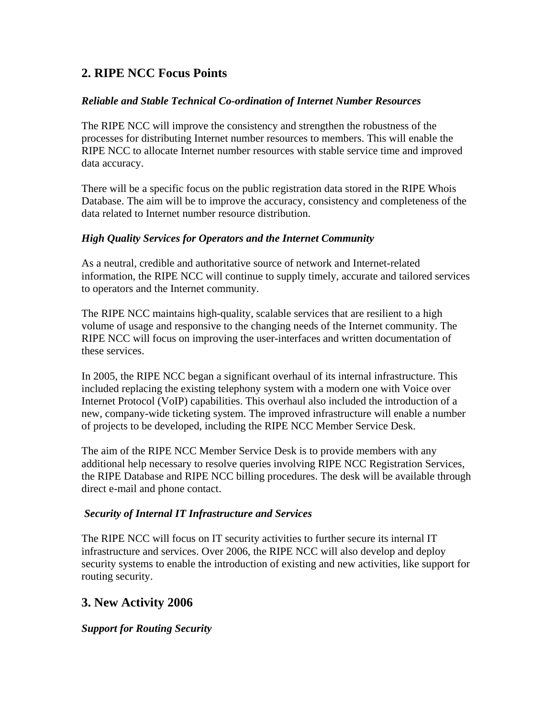# **2. RIPE NCC Focus Points**

## *Reliable and Stable Technical Co-ordination of Internet Number Resources*

The RIPE NCC will improve the consistency and strengthen the robustness of the processes for distributing Internet number resources to members. This will enable the RIPE NCC to allocate Internet number resources with stable service time and improved data accuracy.

There will be a specific focus on the public registration data stored in the RIPE Whois Database. The aim will be to improve the accuracy, consistency and completeness of the data related to Internet number resource distribution.

## *High Quality Services for Operators and the Internet Community*

As a neutral, credible and authoritative source of network and Internet-related information, the RIPE NCC will continue to supply timely, accurate and tailored services to operators and the Internet community.

The RIPE NCC maintains high-quality, scalable services that are resilient to a high volume of usage and responsive to the changing needs of the Internet community. The RIPE NCC will focus on improving the user-interfaces and written documentation of these services.

In 2005, the RIPE NCC began a significant overhaul of its internal infrastructure. This included replacing the existing telephony system with a modern one with Voice over Internet Protocol (VoIP) capabilities. This overhaul also included the introduction of a new, company-wide ticketing system. The improved infrastructure will enable a number of projects to be developed, including the RIPE NCC Member Service Desk.

The aim of the RIPE NCC Member Service Desk is to provide members with any additional help necessary to resolve queries involving RIPE NCC Registration Services, the RIPE Database and RIPE NCC billing procedures. The desk will be available through direct e-mail and phone contact.

## *Security of Internal IT Infrastructure and Services*

The RIPE NCC will focus on IT security activities to further secure its internal IT infrastructure and services. Over 2006, the RIPE NCC will also develop and deploy security systems to enable the introduction of existing and new activities, like support for routing security.

# **3. New Activity 2006**

*Support for Routing Security*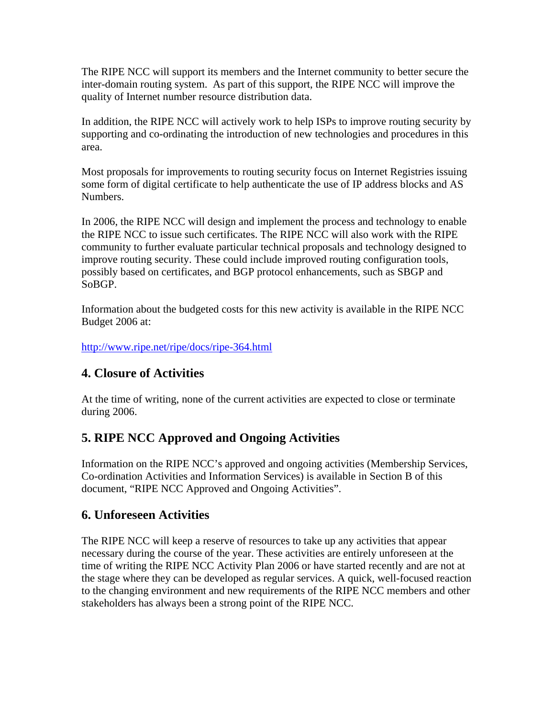The RIPE NCC will support its members and the Internet community to better secure the inter-domain routing system. As part of this support, the RIPE NCC will improve the quality of Internet number resource distribution data.

In addition, the RIPE NCC will actively work to help ISPs to improve routing security by supporting and co-ordinating the introduction of new technologies and procedures in this area.

Most proposals for improvements to routing security focus on Internet Registries issuing some form of digital certificate to help authenticate the use of IP address blocks and AS Numbers.

In 2006, the RIPE NCC will design and implement the process and technology to enable the RIPE NCC to issue such certificates. The RIPE NCC will also work with the RIPE community to further evaluate particular technical proposals and technology designed to improve routing security. These could include improved routing configuration tools, possibly based on certificates, and BGP protocol enhancements, such as SBGP and SoBGP.

Information about the budgeted costs for this new activity is available in the RIPE NCC Budget 2006 at:

<http://www.ripe.net/ripe/docs/ripe-364.html>

# **4. Closure of Activities**

At the time of writing, none of the current activities are expected to close or terminate during 2006.

# **5. RIPE NCC Approved and Ongoing Activities**

Information on the RIPE NCC's approved and ongoing activities (Membership Services, Co-ordination Activities and Information Services) is available in Section B of this document, "RIPE NCC Approved and Ongoing Activities".

# **6. Unforeseen Activities**

The RIPE NCC will keep a reserve of resources to take up any activities that appear necessary during the course of the year. These activities are entirely unforeseen at the time of writing the RIPE NCC Activity Plan 2006 or have started recently and are not at the stage where they can be developed as regular services. A quick, well-focused reaction to the changing environment and new requirements of the RIPE NCC members and other stakeholders has always been a strong point of the RIPE NCC.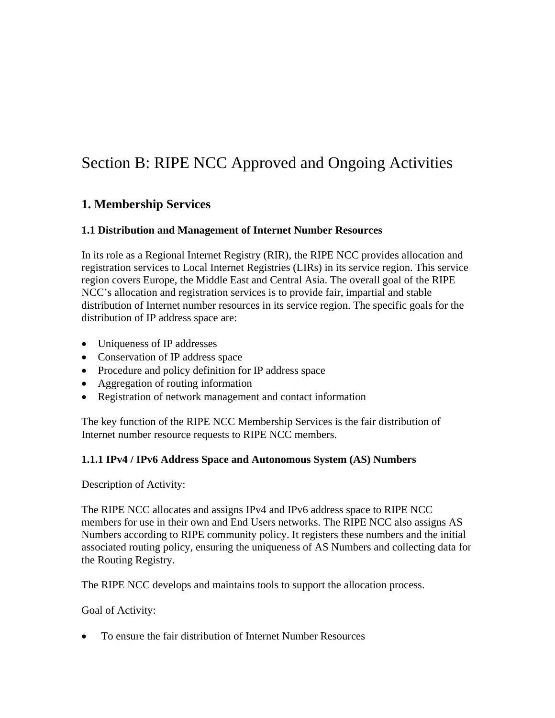# Section B: RIPE NCC Approved and Ongoing Activities

# **1. Membership Services**

#### **1.1 Distribution and Management of Internet Number Resources**

In its role as a Regional Internet Registry (RIR), the RIPE NCC provides allocation and registration services to Local Internet Registries (LIRs) in its service region. This service region covers Europe, the Middle East and Central Asia. The overall goal of the RIPE NCC's allocation and registration services is to provide fair, impartial and stable distribution of Internet number resources in its service region. The specific goals for the distribution of IP address space are:

- Uniqueness of IP addresses
- Conservation of IP address space
- Procedure and policy definition for IP address space
- Aggregation of routing information
- Registration of network management and contact information

The key function of the RIPE NCC Membership Services is the fair distribution of Internet number resource requests to RIPE NCC members.

#### **1.1.1 IPv4 / IPv6 Address Space and Autonomous System (AS) Numbers**

Description of Activity:

The RIPE NCC allocates and assigns IPv4 and IPv6 address space to RIPE NCC members for use in their own and End Users networks. The RIPE NCC also assigns AS Numbers according to RIPE community policy. It registers these numbers and the initial associated routing policy, ensuring the uniqueness of AS Numbers and collecting data for the Routing Registry.

The RIPE NCC develops and maintains tools to support the allocation process.

#### Goal of Activity:

• To ensure the fair distribution of Internet Number Resources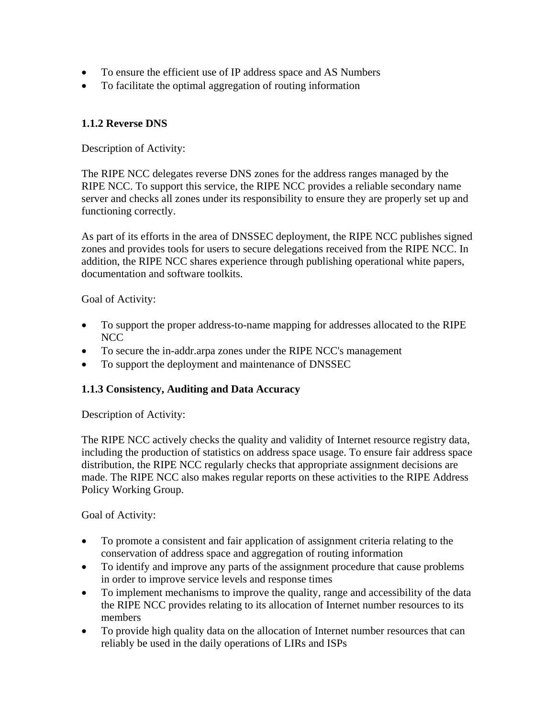- To ensure the efficient use of IP address space and AS Numbers
- To facilitate the optimal aggregation of routing information

# **1.1.2 Reverse DNS**

Description of Activity:

The RIPE NCC delegates reverse DNS zones for the address ranges managed by the RIPE NCC. To support this service, the RIPE NCC provides a reliable secondary name server and checks all zones under its responsibility to ensure they are properly set up and functioning correctly.

As part of its efforts in the area of DNSSEC deployment, the RIPE NCC publishes signed zones and provides tools for users to secure delegations received from the RIPE NCC. In addition, the RIPE NCC shares experience through publishing operational white papers, documentation and software toolkits.

#### Goal of Activity:

- To support the proper address-to-name mapping for addresses allocated to the RIPE NCC
- To secure the in-addr.arpa zones under the RIPE NCC's management
- To support the deployment and maintenance of DNSSEC

## **1.1.3 Consistency, Auditing and Data Accuracy**

Description of Activity:

The RIPE NCC actively checks the quality and validity of Internet resource registry data, including the production of statistics on address space usage. To ensure fair address space distribution, the RIPE NCC regularly checks that appropriate assignment decisions are made. The RIPE NCC also makes regular reports on these activities to the RIPE Address Policy Working Group.

Goal of Activity:

- To promote a consistent and fair application of assignment criteria relating to the conservation of address space and aggregation of routing information
- To identify and improve any parts of the assignment procedure that cause problems in order to improve service levels and response times
- To implement mechanisms to improve the quality, range and accessibility of the data the RIPE NCC provides relating to its allocation of Internet number resources to its members
- To provide high quality data on the allocation of Internet number resources that can reliably be used in the daily operations of LIRs and ISPs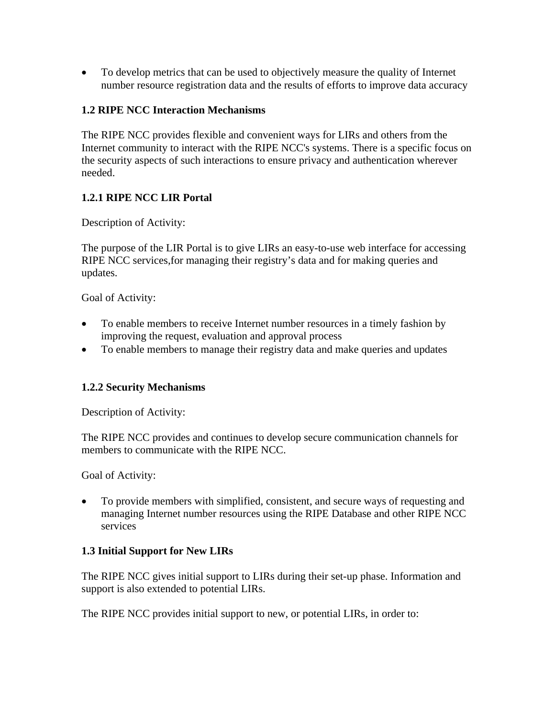• To develop metrics that can be used to objectively measure the quality of Internet number resource registration data and the results of efforts to improve data accuracy

## **1.2 RIPE NCC Interaction Mechanisms**

The RIPE NCC provides flexible and convenient ways for LIRs and others from the Internet community to interact with the RIPE NCC's systems. There is a specific focus on the security aspects of such interactions to ensure privacy and authentication wherever needed.

## **1.2.1 RIPE NCC LIR Portal**

Description of Activity:

The purpose of the LIR Portal is to give LIRs an easy-to-use web interface for accessing RIPE NCC services,for managing their registry's data and for making queries and updates.

#### Goal of Activity:

- To enable members to receive Internet number resources in a timely fashion by improving the request, evaluation and approval process
- To enable members to manage their registry data and make queries and updates

## **1.2.2 Security Mechanisms**

Description of Activity:

The RIPE NCC provides and continues to develop secure communication channels for members to communicate with the RIPE NCC.

Goal of Activity:

• To provide members with simplified, consistent, and secure ways of requesting and managing Internet number resources using the RIPE Database and other RIPE NCC services

## **1.3 Initial Support for New LIRs**

The RIPE NCC gives initial support to LIRs during their set-up phase. Information and support is also extended to potential LIRs.

The RIPE NCC provides initial support to new, or potential LIRs, in order to: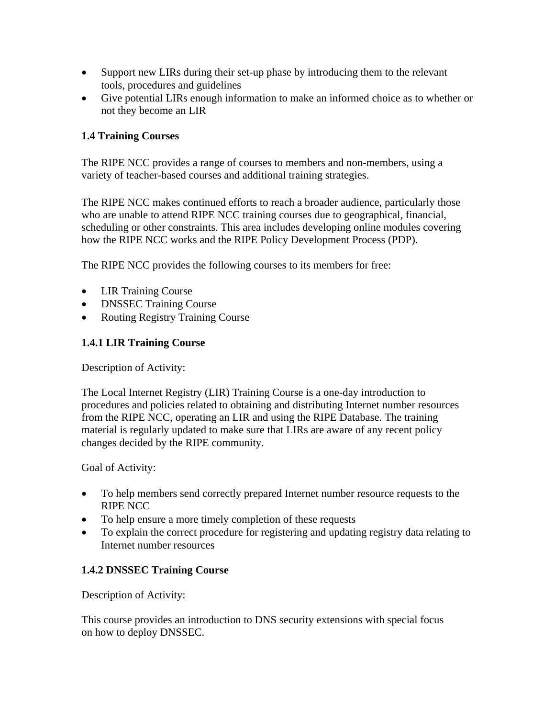- Support new LIRs during their set-up phase by introducing them to the relevant tools, procedures and guidelines
- Give potential LIRs enough information to make an informed choice as to whether or not they become an LIR

## **1.4 Training Courses**

The RIPE NCC provides a range of courses to members and non-members, using a variety of teacher-based courses and additional training strategies.

The RIPE NCC makes continued efforts to reach a broader audience, particularly those who are unable to attend RIPE NCC training courses due to geographical, financial, scheduling or other constraints. This area includes developing online modules covering how the RIPE NCC works and the RIPE Policy Development Process (PDP).

The RIPE NCC provides the following courses to its members for free:

- LIR Training Course
- DNSSEC Training Course
- Routing Registry Training Course

## **1.4.1 LIR Training Course**

Description of Activity:

The Local Internet Registry (LIR) Training Course is a one-day introduction to procedures and policies related to obtaining and distributing Internet number resources from the RIPE NCC, operating an LIR and using the RIPE Database. The training material is regularly updated to make sure that LIRs are aware of any recent policy changes decided by the RIPE community.

Goal of Activity:

- To help members send correctly prepared Internet number resource requests to the RIPE NCC
- To help ensure a more timely completion of these requests
- To explain the correct procedure for registering and updating registry data relating to Internet number resources

## **1.4.2 DNSSEC Training Course**

Description of Activity:

This course provides an introduction to DNS security extensions with special focus on how to deploy DNSSEC.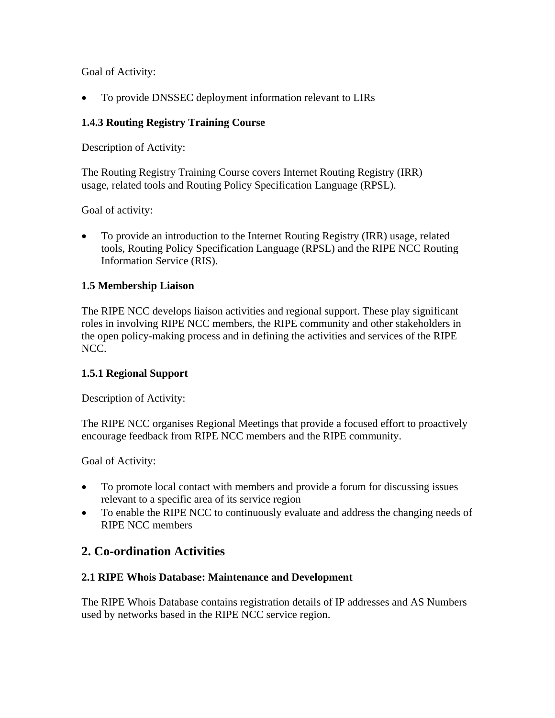Goal of Activity:

• To provide DNSSEC deployment information relevant to LIRs

# **1.4.3 Routing Registry Training Course**

Description of Activity:

The Routing Registry Training Course covers Internet Routing Registry (IRR) usage, related tools and Routing Policy Specification Language (RPSL).

Goal of activity:

• To provide an introduction to the Internet Routing Registry (IRR) usage, related tools, Routing Policy Specification Language (RPSL) and the RIPE NCC Routing Information Service (RIS).

## **1.5 Membership Liaison**

The RIPE NCC develops liaison activities and regional support. These play significant roles in involving RIPE NCC members, the RIPE community and other stakeholders in the open policy-making process and in defining the activities and services of the RIPE NCC.

## **1.5.1 Regional Support**

Description of Activity:

The RIPE NCC organises Regional Meetings that provide a focused effort to proactively encourage feedback from RIPE NCC members and the RIPE community.

Goal of Activity:

- To promote local contact with members and provide a forum for discussing issues relevant to a specific area of its service region
- To enable the RIPE NCC to continuously evaluate and address the changing needs of RIPE NCC members

# **2. Co-ordination Activities**

## **2.1 RIPE Whois Database: Maintenance and Development**

The RIPE Whois Database contains registration details of IP addresses and AS Numbers used by networks based in the RIPE NCC service region.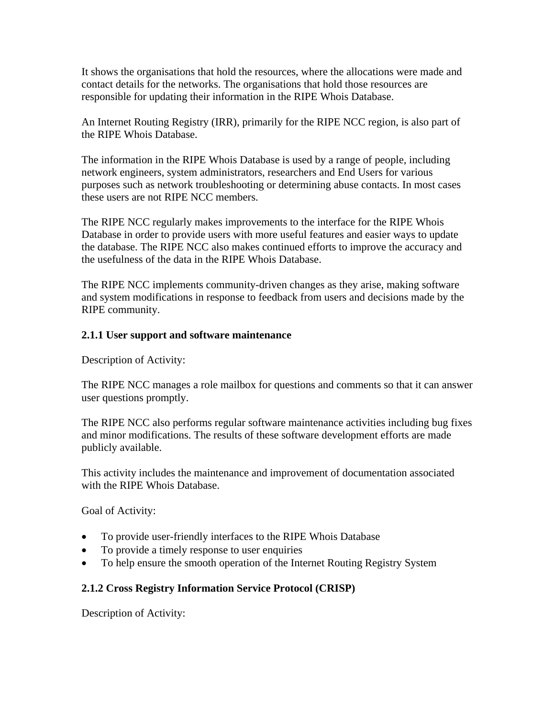It shows the organisations that hold the resources, where the allocations were made and contact details for the networks. The organisations that hold those resources are responsible for updating their information in the RIPE Whois Database.

An Internet Routing Registry (IRR), primarily for the RIPE NCC region, is also part of the RIPE Whois Database.

The information in the RIPE Whois Database is used by a range of people, including network engineers, system administrators, researchers and End Users for various purposes such as network troubleshooting or determining abuse contacts. In most cases these users are not RIPE NCC members.

The RIPE NCC regularly makes improvements to the interface for the RIPE Whois Database in order to provide users with more useful features and easier ways to update the database. The RIPE NCC also makes continued efforts to improve the accuracy and the usefulness of the data in the RIPE Whois Database.

The RIPE NCC implements community-driven changes as they arise, making software and system modifications in response to feedback from users and decisions made by the RIPE community.

## **2.1.1 User support and software maintenance**

Description of Activity:

The RIPE NCC manages a role mailbox for questions and comments so that it can answer user questions promptly.

The RIPE NCC also performs regular software maintenance activities including bug fixes and minor modifications. The results of these software development efforts are made publicly available.

This activity includes the maintenance and improvement of documentation associated with the RIPE Whois Database.

Goal of Activity:

- To provide user-friendly interfaces to the RIPE Whois Database
- To provide a timely response to user enquiries
- To help ensure the smooth operation of the Internet Routing Registry System

# **2.1.2 Cross Registry Information Service Protocol (CRISP)**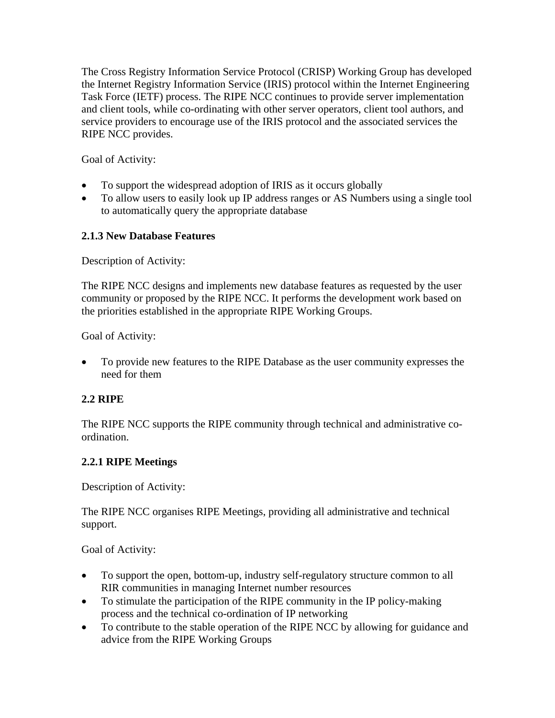The Cross Registry Information Service Protocol (CRISP) Working Group has developed the Internet Registry Information Service (IRIS) protocol within the Internet Engineering Task Force (IETF) process. The RIPE NCC continues to provide server implementation and client tools, while co-ordinating with other server operators, client tool authors, and service providers to encourage use of the IRIS protocol and the associated services the RIPE NCC provides.

Goal of Activity:

- To support the widespread adoption of IRIS as it occurs globally
- To allow users to easily look up IP address ranges or AS Numbers using a single tool to automatically query the appropriate database

# **2.1.3 New Database Features**

Description of Activity:

The RIPE NCC designs and implements new database features as requested by the user community or proposed by the RIPE NCC. It performs the development work based on the priorities established in the appropriate RIPE Working Groups.

Goal of Activity:

• To provide new features to the RIPE Database as the user community expresses the need for them

# **2.2 RIPE**

The RIPE NCC supports the RIPE community through technical and administrative coordination.

# **2.2.1 RIPE Meetings**

Description of Activity:

The RIPE NCC organises RIPE Meetings, providing all administrative and technical support.

Goal of Activity:

- To support the open, bottom-up, industry self-regulatory structure common to all RIR communities in managing Internet number resources
- To stimulate the participation of the RIPE community in the IP policy-making process and the technical co-ordination of IP networking
- To contribute to the stable operation of the RIPE NCC by allowing for guidance and advice from the RIPE Working Groups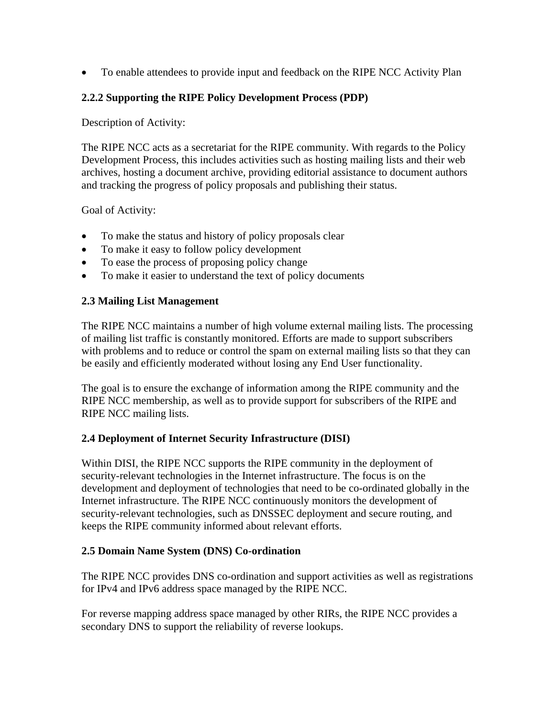• To enable attendees to provide input and feedback on the RIPE NCC Activity Plan

# **2.2.2 Supporting the RIPE Policy Development Process (PDP)**

Description of Activity:

The RIPE NCC acts as a secretariat for the RIPE community. With regards to the Policy Development Process, this includes activities such as hosting mailing lists and their web archives, hosting a document archive, providing editorial assistance to document authors and tracking the progress of policy proposals and publishing their status.

Goal of Activity:

- To make the status and history of policy proposals clear
- To make it easy to follow policy development
- To ease the process of proposing policy change
- To make it easier to understand the text of policy documents

## **2.3 Mailing List Management**

The RIPE NCC maintains a number of high volume external mailing lists. The processing of mailing list traffic is constantly monitored. Efforts are made to support subscribers with problems and to reduce or control the spam on external mailing lists so that they can be easily and efficiently moderated without losing any End User functionality.

The goal is to ensure the exchange of information among the RIPE community and the RIPE NCC membership, as well as to provide support for subscribers of the RIPE and RIPE NCC mailing lists.

# **2.4 Deployment of Internet Security Infrastructure (DISI)**

Within DISI, the RIPE NCC supports the RIPE community in the deployment of security-relevant technologies in the Internet infrastructure. The focus is on the development and deployment of technologies that need to be co-ordinated globally in the Internet infrastructure. The RIPE NCC continuously monitors the development of security-relevant technologies, such as DNSSEC deployment and secure routing, and keeps the RIPE community informed about relevant efforts.

## **2.5 Domain Name System (DNS) Co-ordination**

The RIPE NCC provides DNS co-ordination and support activities as well as registrations for IPv4 and IPv6 address space managed by the RIPE NCC.

For reverse mapping address space managed by other RIRs, the RIPE NCC provides a secondary DNS to support the reliability of reverse lookups.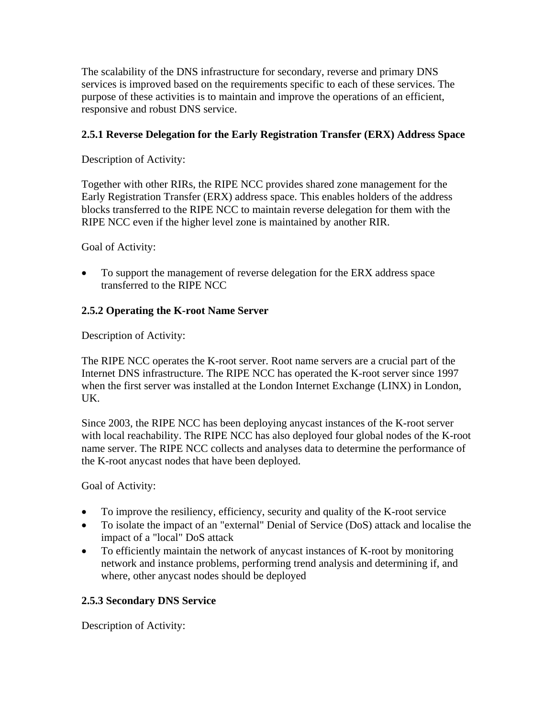The scalability of the DNS infrastructure for secondary, reverse and primary DNS services is improved based on the requirements specific to each of these services. The purpose of these activities is to maintain and improve the operations of an efficient, responsive and robust DNS service.

# **2.5.1 Reverse Delegation for the Early Registration Transfer (ERX) Address Space**

Description of Activity:

Together with other RIRs, the RIPE NCC provides shared zone management for the Early Registration Transfer (ERX) address space. This enables holders of the address blocks transferred to the RIPE NCC to maintain reverse delegation for them with the RIPE NCC even if the higher level zone is maintained by another RIR.

Goal of Activity:

• To support the management of reverse delegation for the ERX address space transferred to the RIPE NCC

# **2.5.2 Operating the K-root Name Server**

Description of Activity:

The RIPE NCC operates the K-root server. Root name servers are a crucial part of the Internet DNS infrastructure. The RIPE NCC has operated the K-root server since 1997 when the first server was installed at the London Internet Exchange (LINX) in London, UK.

Since 2003, the RIPE NCC has been deploying anycast instances of the K-root server with local reachability. The RIPE NCC has also deployed four global nodes of the K-root name server. The RIPE NCC collects and analyses data to determine the performance of the K-root anycast nodes that have been deployed.

Goal of Activity:

- To improve the resiliency, efficiency, security and quality of the K-root service
- To isolate the impact of an "external" Denial of Service (DoS) attack and localise the impact of a "local" DoS attack
- To efficiently maintain the network of anycast instances of K-root by monitoring network and instance problems, performing trend analysis and determining if, and where, other anycast nodes should be deployed

## **2.5.3 Secondary DNS Service**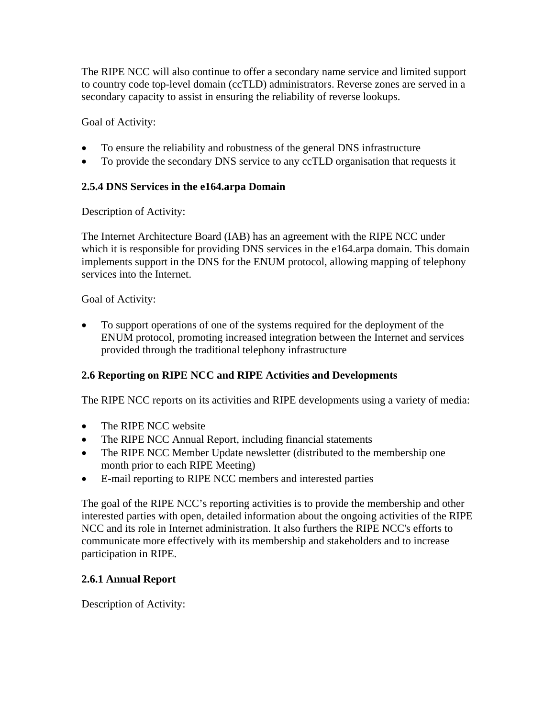The RIPE NCC will also continue to offer a secondary name service and limited support to country code top-level domain (ccTLD) administrators. Reverse zones are served in a secondary capacity to assist in ensuring the reliability of reverse lookups.

Goal of Activity:

- To ensure the reliability and robustness of the general DNS infrastructure
- To provide the secondary DNS service to any ccTLD organisation that requests it

# **2.5.4 DNS Services in the e164.arpa Domain**

Description of Activity:

The Internet Architecture Board (IAB) has an agreement with the RIPE NCC under which it is responsible for providing DNS services in the e164.arpa domain. This domain implements support in the DNS for the ENUM protocol, allowing mapping of telephony services into the Internet.

# Goal of Activity:

• To support operations of one of the systems required for the deployment of the ENUM protocol, promoting increased integration between the Internet and services provided through the traditional telephony infrastructure

# **2.6 Reporting on RIPE NCC and RIPE Activities and Developments**

The RIPE NCC reports on its activities and RIPE developments using a variety of media:

- The RIPE NCC website
- The RIPE NCC Annual Report, including financial statements
- The RIPE NCC Member Update newsletter (distributed to the membership one month prior to each RIPE Meeting)
- E-mail reporting to RIPE NCC members and interested parties

The goal of the RIPE NCC's reporting activities is to provide the membership and other interested parties with open, detailed information about the ongoing activities of the RIPE NCC and its role in Internet administration. It also furthers the RIPE NCC's efforts to communicate more effectively with its membership and stakeholders and to increase participation in RIPE.

## **2.6.1 Annual Report**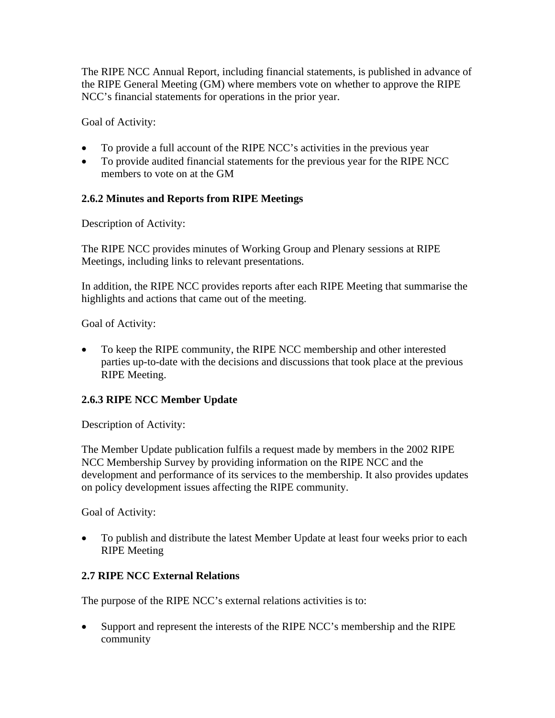The RIPE NCC Annual Report, including financial statements, is published in advance of the RIPE General Meeting (GM) where members vote on whether to approve the RIPE NCC's financial statements for operations in the prior year.

Goal of Activity:

- To provide a full account of the RIPE NCC's activities in the previous year
- To provide audited financial statements for the previous year for the RIPE NCC members to vote on at the GM

# **2.6.2 Minutes and Reports from RIPE Meetings**

Description of Activity:

The RIPE NCC provides minutes of Working Group and Plenary sessions at RIPE Meetings, including links to relevant presentations.

In addition, the RIPE NCC provides reports after each RIPE Meeting that summarise the highlights and actions that came out of the meeting.

Goal of Activity:

• To keep the RIPE community, the RIPE NCC membership and other interested parties up-to-date with the decisions and discussions that took place at the previous RIPE Meeting.

# **2.6.3 RIPE NCC Member Update**

Description of Activity:

The Member Update publication fulfils a request made by members in the 2002 RIPE NCC Membership Survey by providing information on the RIPE NCC and the development and performance of its services to the membership. It also provides updates on policy development issues affecting the RIPE community.

Goal of Activity:

• To publish and distribute the latest Member Update at least four weeks prior to each RIPE Meeting

# **2.7 RIPE NCC External Relations**

The purpose of the RIPE NCC's external relations activities is to:

• Support and represent the interests of the RIPE NCC's membership and the RIPE community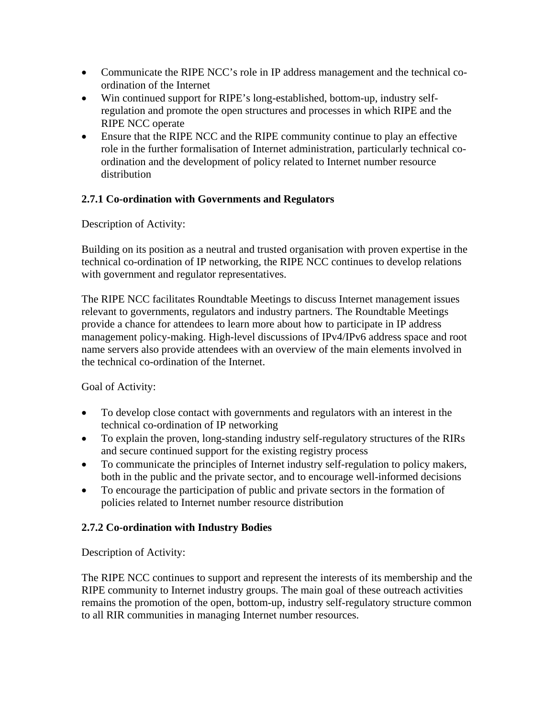- Communicate the RIPE NCC's role in IP address management and the technical coordination of the Internet
- Win continued support for RIPE's long-established, bottom-up, industry selfregulation and promote the open structures and processes in which RIPE and the RIPE NCC operate
- Ensure that the RIPE NCC and the RIPE community continue to play an effective role in the further formalisation of Internet administration, particularly technical coordination and the development of policy related to Internet number resource distribution

# **2.7.1 Co-ordination with Governments and Regulators**

Description of Activity:

Building on its position as a neutral and trusted organisation with proven expertise in the technical co-ordination of IP networking, the RIPE NCC continues to develop relations with government and regulator representatives.

The RIPE NCC facilitates Roundtable Meetings to discuss Internet management issues relevant to governments, regulators and industry partners. The Roundtable Meetings provide a chance for attendees to learn more about how to participate in IP address management policy-making. High-level discussions of IPv4/IPv6 address space and root name servers also provide attendees with an overview of the main elements involved in the technical co-ordination of the Internet.

Goal of Activity:

- To develop close contact with governments and regulators with an interest in the technical co-ordination of IP networking
- To explain the proven, long-standing industry self-regulatory structures of the RIRs and secure continued support for the existing registry process
- To communicate the principles of Internet industry self-regulation to policy makers, both in the public and the private sector, and to encourage well-informed decisions
- To encourage the participation of public and private sectors in the formation of policies related to Internet number resource distribution

## **2.7.2 Co-ordination with Industry Bodies**

Description of Activity:

The RIPE NCC continues to support and represent the interests of its membership and the RIPE community to Internet industry groups. The main goal of these outreach activities remains the promotion of the open, bottom-up, industry self-regulatory structure common to all RIR communities in managing Internet number resources.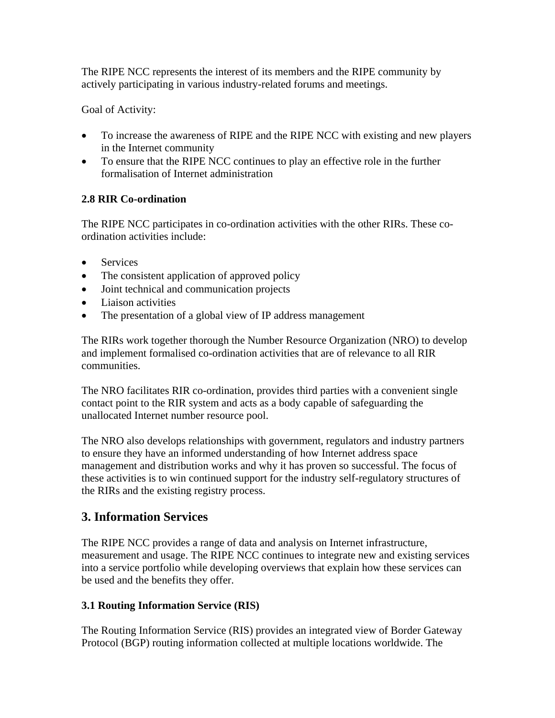The RIPE NCC represents the interest of its members and the RIPE community by actively participating in various industry-related forums and meetings.

Goal of Activity:

- To increase the awareness of RIPE and the RIPE NCC with existing and new players in the Internet community
- To ensure that the RIPE NCC continues to play an effective role in the further formalisation of Internet administration

# **2.8 RIR Co-ordination**

The RIPE NCC participates in co-ordination activities with the other RIRs. These coordination activities include:

- Services
- The consistent application of approved policy
- Joint technical and communication projects
- Liaison activities
- The presentation of a global view of IP address management

The RIRs work together thorough the Number Resource Organization (NRO) to develop and implement formalised co-ordination activities that are of relevance to all RIR communities.

The NRO facilitates RIR co-ordination, provides third parties with a convenient single contact point to the RIR system and acts as a body capable of safeguarding the unallocated Internet number resource pool.

The NRO also develops relationships with government, regulators and industry partners to ensure they have an informed understanding of how Internet address space management and distribution works and why it has proven so successful. The focus of these activities is to win continued support for the industry self-regulatory structures of the RIRs and the existing registry process.

# **3. Information Services**

The RIPE NCC provides a range of data and analysis on Internet infrastructure, measurement and usage. The RIPE NCC continues to integrate new and existing services into a service portfolio while developing overviews that explain how these services can be used and the benefits they offer.

# **3.1 Routing Information Service (RIS)**

The Routing Information Service (RIS) provides an integrated view of Border Gateway Protocol (BGP) routing information collected at multiple locations worldwide. The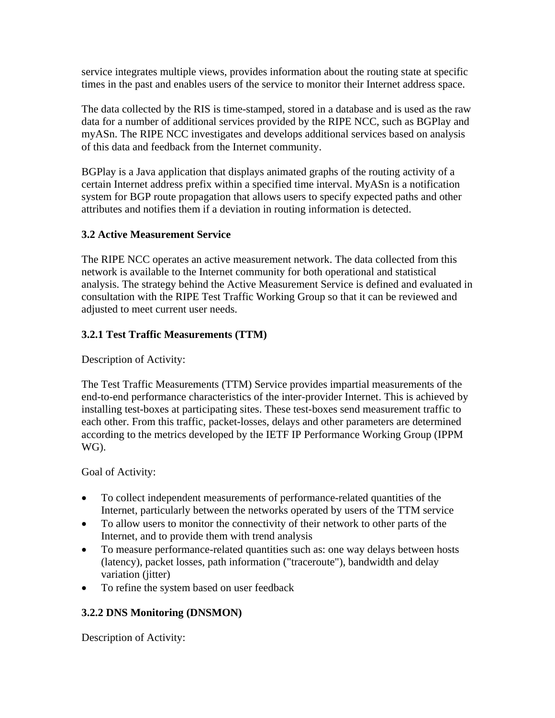service integrates multiple views, provides information about the routing state at specific times in the past and enables users of the service to monitor their Internet address space.

The data collected by the RIS is time-stamped, stored in a database and is used as the raw data for a number of additional services provided by the RIPE NCC, such as BGPlay and myASn. The RIPE NCC investigates and develops additional services based on analysis of this data and feedback from the Internet community.

BGPlay is a Java application that displays animated graphs of the routing activity of a certain Internet address prefix within a specified time interval. MyASn is a notification system for BGP route propagation that allows users to specify expected paths and other attributes and notifies them if a deviation in routing information is detected.

# **3.2 Active Measurement Service**

The RIPE NCC operates an active measurement network. The data collected from this network is available to the Internet community for both operational and statistical analysis. The strategy behind the Active Measurement Service is defined and evaluated in consultation with the RIPE Test Traffic Working Group so that it can be reviewed and adjusted to meet current user needs.

# **3.2.1 Test Traffic Measurements (TTM)**

Description of Activity:

The Test Traffic Measurements (TTM) Service provides impartial measurements of the end-to-end performance characteristics of the inter-provider Internet. This is achieved by installing test-boxes at participating sites. These test-boxes send measurement traffic to each other. From this traffic, packet-losses, delays and other parameters are determined according to the metrics developed by the IETF IP Performance Working Group (IPPM WG).

Goal of Activity:

- To collect independent measurements of performance-related quantities of the Internet, particularly between the networks operated by users of the TTM service
- To allow users to monitor the connectivity of their network to other parts of the Internet, and to provide them with trend analysis
- To measure performance-related quantities such as: one way delays between hosts (latency), packet losses, path information ("traceroute"), bandwidth and delay variation (jitter)
- To refine the system based on user feedback

# **3.2.2 DNS Monitoring (DNSMON)**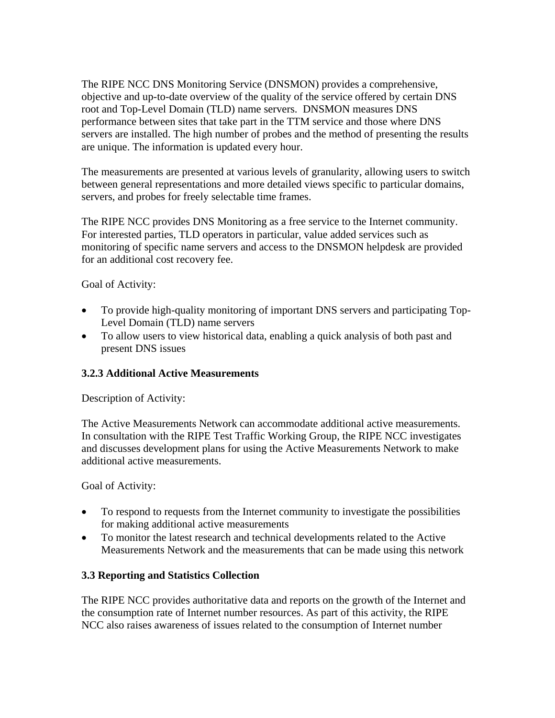The RIPE NCC DNS Monitoring Service (DNSMON) provides a comprehensive, objective and up-to-date overview of the quality of the service offered by certain DNS root and Top-Level Domain (TLD) name servers. DNSMON measures DNS performance between sites that take part in the TTM service and those where DNS servers are installed. The high number of probes and the method of presenting the results are unique. The information is updated every hour.

The measurements are presented at various levels of granularity, allowing users to switch between general representations and more detailed views specific to particular domains, servers, and probes for freely selectable time frames.

The RIPE NCC provides DNS Monitoring as a free service to the Internet community. For interested parties, TLD operators in particular, value added services such as monitoring of specific name servers and access to the DNSMON helpdesk are provided for an additional cost recovery fee.

Goal of Activity:

- To provide high-quality monitoring of important DNS servers and participating Top-Level Domain (TLD) name servers
- To allow users to view historical data, enabling a quick analysis of both past and present DNS issues

## **3.2.3 Additional Active Measurements**

Description of Activity:

The Active Measurements Network can accommodate additional active measurements. In consultation with the RIPE Test Traffic Working Group, the RIPE NCC investigates and discusses development plans for using the Active Measurements Network to make additional active measurements.

Goal of Activity:

- To respond to requests from the Internet community to investigate the possibilities for making additional active measurements
- To monitor the latest research and technical developments related to the Active Measurements Network and the measurements that can be made using this network

## **3.3 Reporting and Statistics Collection**

The RIPE NCC provides authoritative data and reports on the growth of the Internet and the consumption rate of Internet number resources. As part of this activity, the RIPE NCC also raises awareness of issues related to the consumption of Internet number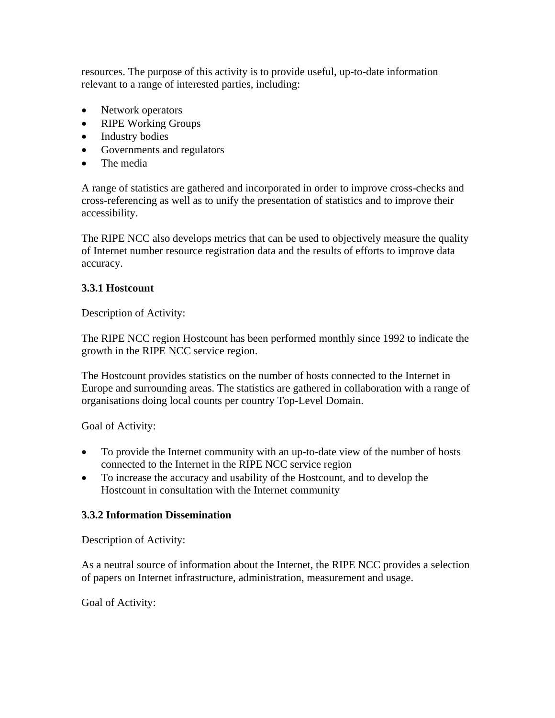resources. The purpose of this activity is to provide useful, up-to-date information relevant to a range of interested parties, including:

- Network operators
- RIPE Working Groups
- Industry bodies
- Governments and regulators
- The media

A range of statistics are gathered and incorporated in order to improve cross-checks and cross-referencing as well as to unify the presentation of statistics and to improve their accessibility.

The RIPE NCC also develops metrics that can be used to objectively measure the quality of Internet number resource registration data and the results of efforts to improve data accuracy.

#### **3.3.1 Hostcount**

Description of Activity:

The RIPE NCC region Hostcount has been performed monthly since 1992 to indicate the growth in the RIPE NCC service region.

The Hostcount provides statistics on the number of hosts connected to the Internet in Europe and surrounding areas. The statistics are gathered in collaboration with a range of organisations doing local counts per country Top-Level Domain.

Goal of Activity:

- To provide the Internet community with an up-to-date view of the number of hosts connected to the Internet in the RIPE NCC service region
- To increase the accuracy and usability of the Hostcount, and to develop the Hostcount in consultation with the Internet community

## **3.3.2 Information Dissemination**

Description of Activity:

As a neutral source of information about the Internet, the RIPE NCC provides a selection of papers on Internet infrastructure, administration, measurement and usage.

Goal of Activity: